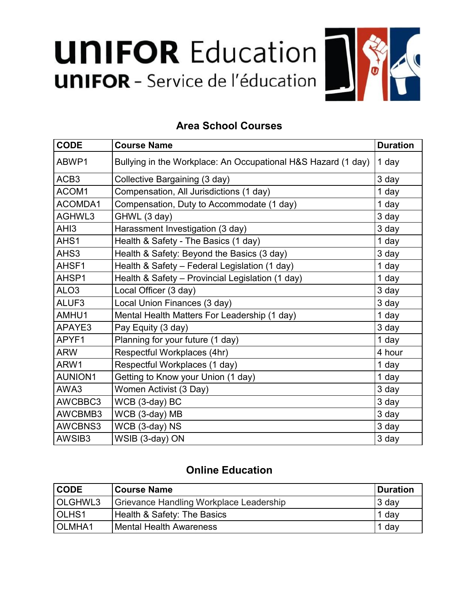## **UNIFOR Education UNIFOR** - Service de l'éducation



## **Area School Courses**

| <b>CODE</b>      | <b>Course Name</b>                                            | <b>Duration</b> |
|------------------|---------------------------------------------------------------|-----------------|
| ABWP1            | Bullying in the Workplace: An Occupational H&S Hazard (1 day) | 1 day           |
| ACB <sub>3</sub> | Collective Bargaining (3 day)                                 | 3 day           |
| ACOM1            | Compensation, All Jurisdictions (1 day)                       | 1 day           |
| ACOMDA1          | Compensation, Duty to Accommodate (1 day)                     | 1 day           |
| AGHWL3           | GHWL (3 day)                                                  | 3 day           |
| AH <sub>13</sub> | Harassment Investigation (3 day)                              | 3 day           |
| AHS1             | Health & Safety - The Basics (1 day)                          | 1 day           |
| AHS3             | Health & Safety: Beyond the Basics (3 day)                    | 3 day           |
| AHSF1            | Health & Safety - Federal Legislation (1 day)                 | 1 day           |
| AHSP1            | Health & Safety - Provincial Legislation (1 day)              | 1 day           |
| ALO <sub>3</sub> | Local Officer (3 day)                                         | 3 day           |
| ALUF3            | Local Union Finances (3 day)                                  | 3 day           |
| AMHU1            | Mental Health Matters For Leadership (1 day)                  | 1 day           |
| APAYE3           | Pay Equity (3 day)                                            | 3 day           |
| APYF1            | Planning for your future (1 day)                              | 1 day           |
| <b>ARW</b>       | Respectful Workplaces (4hr)                                   | 4 hour          |
| ARW1             | Respectful Workplaces (1 day)                                 | 1 day           |
| <b>AUNION1</b>   | Getting to Know your Union (1 day)                            | 1 day           |
| AWA3             | Women Activist (3 Day)                                        | 3 day           |
| AWCBBC3          | WCB (3-day) BC                                                | 3 day           |
| AWCBMB3          | WCB (3-day) MB                                                | 3 day           |
| AWCBNS3          | WCB (3-day) NS                                                | 3 day           |
| AWSIB3           | WSIB (3-day) ON                                               | 3 day           |

## **Online Education**

| <b>CODE</b>       | <b>Course Name</b>                      | Duration |
|-------------------|-----------------------------------------|----------|
| OLGHWL3           | Grievance Handling Workplace Leadership | 3 day    |
| OLHS <sub>1</sub> | Health & Safety: The Basics             | 1 day    |
| OLMHA1            | <b>IMental Health Awareness</b>         | 1 day    |